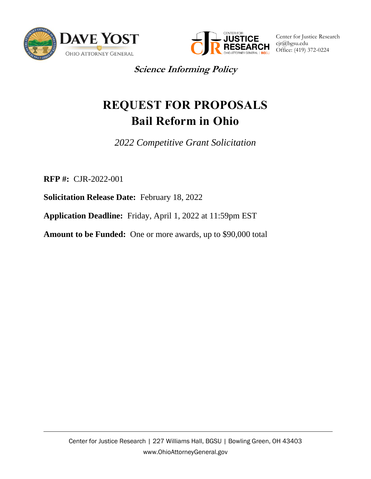



Center for Justice Research cjr@bgsu.edu Office: (419) 372-0224

**Science Informing Policy**

# **REQUEST FOR PROPOSALS Bail Reform in Ohio**

*2022 Competitive Grant Solicitation*

**RFP #:** CJR-2022-001

**Solicitation Release Date:** February 18, 2022

**Application Deadline:** Friday, April 1, 2022 at 11:59pm EST

**Amount to be Funded:** One or more awards, up to \$90,000 total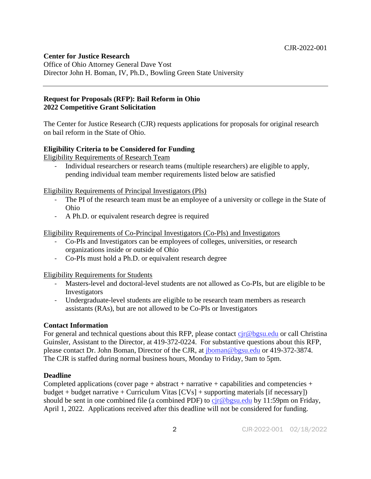# **Center for Justice Research**

Office of Ohio Attorney General Dave Yost Director John H. Boman, IV, Ph.D., Bowling Green State University

#### **Request for Proposals (RFP): Bail Reform in Ohio 2022 Competitive Grant Solicitation**

The Center for Justice Research (CJR) requests applications for proposals for original research on bail reform in the State of Ohio.

# **Eligibility Criteria to be Considered for Funding**

Eligibility Requirements of Research Team

- Individual researchers or research teams (multiple researchers) are eligible to apply, pending individual team member requirements listed below are satisfied

Eligibility Requirements of Principal Investigators (PIs)

- The PI of the research team must be an employee of a university or college in the State of Ohio
- A Ph.D. or equivalent research degree is required

Eligibility Requirements of Co-Principal Investigators (Co-PIs) and Investigators

- Co-PIs and Investigators can be employees of colleges, universities, or research organizations inside or outside of Ohio
- Co-PIs must hold a Ph.D. or equivalent research degree

Eligibility Requirements for Students

- Masters-level and doctoral-level students are not allowed as Co-PIs, but are eligible to be Investigators
- Undergraduate-level students are eligible to be research team members as research assistants (RAs), but are not allowed to be Co-PIs or Investigators

#### **Contact Information**

For general and technical questions about this RFP, please contact  $\frac{\text{cir}\,\textcircled{e} \text{bg} \text{su.edu}}{\text{er}\,\text{cal}}$  or call Christina Guinsler, Assistant to the Director, at 419-372-0224. For substantive questions about this RFP, please contact Dr. John Boman, Director of the CJR, at [jboman@bgsu.edu](mailto:jboman@bgsu.edu) or 419-372-3874. The CJR is staffed during normal business hours, Monday to Friday, 9am to 5pm.

#### **Deadline**

Completed applications (cover page + abstract + narrative + capabilities and competencies + budget + budget narrative + Curriculum Vitas  $[CVs]$  + supporting materials [if necessary]) should be sent in one combined file (a combined PDF) to  $c\dot{r}\omega$  bgsu.edu by 11:59pm on Friday, April 1, 2022. Applications received after this deadline will not be considered for funding.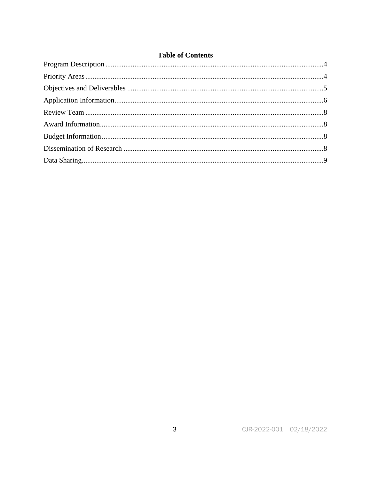# **Table of Contents**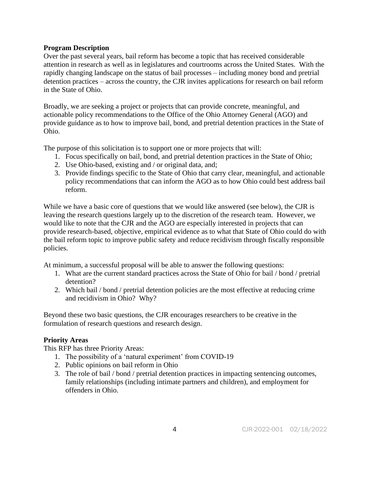### **Program Description**

Over the past several years, bail reform has become a topic that has received considerable attention in research as well as in legislatures and courtrooms across the United States. With the rapidly changing landscape on the status of bail processes – including money bond and pretrial detention practices – across the country, the CJR invites applications for research on bail reform in the State of Ohio.

Broadly, we are seeking a project or projects that can provide concrete, meaningful, and actionable policy recommendations to the Office of the Ohio Attorney General (AGO) and provide guidance as to how to improve bail, bond, and pretrial detention practices in the State of Ohio.

The purpose of this solicitation is to support one or more projects that will:

- 1. Focus specifically on bail, bond, and pretrial detention practices in the State of Ohio;
- 2. Use Ohio-based, existing and / or original data, and;
- 3. Provide findings specific to the State of Ohio that carry clear, meaningful, and actionable policy recommendations that can inform the AGO as to how Ohio could best address bail reform.

While we have a basic core of questions that we would like answered (see below), the CJR is leaving the research questions largely up to the discretion of the research team. However, we would like to note that the CJR and the AGO are especially interested in projects that can provide research-based, objective, empirical evidence as to what that State of Ohio could do with the bail reform topic to improve public safety and reduce recidivism through fiscally responsible policies.

At minimum, a successful proposal will be able to answer the following questions:

- 1. What are the current standard practices across the State of Ohio for bail / bond / pretrial detention?
- 2. Which bail / bond / pretrial detention policies are the most effective at reducing crime and recidivism in Ohio? Why?

Beyond these two basic questions, the CJR encourages researchers to be creative in the formulation of research questions and research design.

# **Priority Areas**

This RFP has three Priority Areas:

- 1. The possibility of a 'natural experiment' from COVID-19
- 2. Public opinions on bail reform in Ohio
- 3. The role of bail / bond / pretrial detention practices in impacting sentencing outcomes, family relationships (including intimate partners and children), and employment for offenders in Ohio.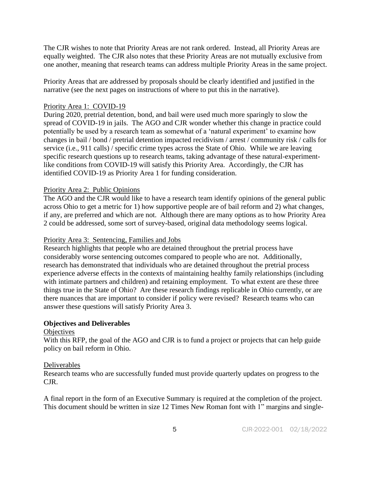The CJR wishes to note that Priority Areas are not rank ordered. Instead, all Priority Areas are equally weighted. The CJR also notes that these Priority Areas are not mutually exclusive from one another, meaning that research teams can address multiple Priority Areas in the same project.

Priority Areas that are addressed by proposals should be clearly identified and justified in the narrative (see the next pages on instructions of where to put this in the narrative).

#### Priority Area 1: COVID-19

During 2020, pretrial detention, bond, and bail were used much more sparingly to slow the spread of COVID-19 in jails. The AGO and CJR wonder whether this change in practice could potentially be used by a research team as somewhat of a 'natural experiment' to examine how changes in bail / bond / pretrial detention impacted recidivism / arrest / community risk / calls for service (i.e., 911 calls) / specific crime types across the State of Ohio. While we are leaving specific research questions up to research teams, taking advantage of these natural-experimentlike conditions from COVID-19 will satisfy this Priority Area. Accordingly, the CJR has identified COVID-19 as Priority Area 1 for funding consideration.

#### Priority Area 2: Public Opinions

The AGO and the CJR would like to have a research team identify opinions of the general public across Ohio to get a metric for 1) how supportive people are of bail reform and 2) what changes, if any, are preferred and which are not. Although there are many options as to how Priority Area 2 could be addressed, some sort of survey-based, original data methodology seems logical.

#### Priority Area 3: Sentencing, Families and Jobs

Research highlights that people who are detained throughout the pretrial process have considerably worse sentencing outcomes compared to people who are not. Additionally, research has demonstrated that individuals who are detained throughout the pretrial process experience adverse effects in the contexts of maintaining healthy family relationships (including with intimate partners and children) and retaining employment. To what extent are these three things true in the State of Ohio? Are these research findings replicable in Ohio currently, or are there nuances that are important to consider if policy were revised? Research teams who can answer these questions will satisfy Priority Area 3.

#### **Objectives and Deliverables**

#### **Objectives**

With this RFP, the goal of the AGO and CJR is to fund a project or projects that can help guide policy on bail reform in Ohio.

#### Deliverables

Research teams who are successfully funded must provide quarterly updates on progress to the CJR.

A final report in the form of an Executive Summary is required at the completion of the project. This document should be written in size 12 Times New Roman font with 1" margins and single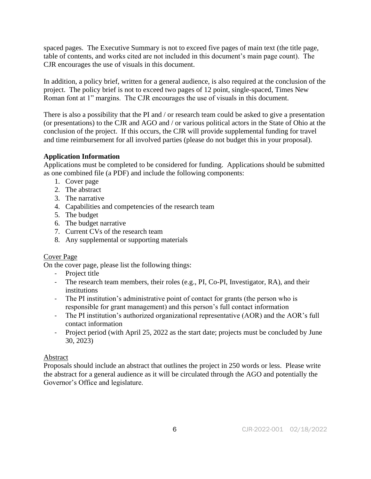spaced pages. The Executive Summary is not to exceed five pages of main text (the title page, table of contents, and works cited are not included in this document's main page count). The CJR encourages the use of visuals in this document.

In addition, a policy brief, written for a general audience, is also required at the conclusion of the project. The policy brief is not to exceed two pages of 12 point, single-spaced, Times New Roman font at 1" margins. The CJR encourages the use of visuals in this document.

There is also a possibility that the PI and / or research team could be asked to give a presentation (or presentations) to the CJR and AGO and / or various political actors in the State of Ohio at the conclusion of the project. If this occurs, the CJR will provide supplemental funding for travel and time reimbursement for all involved parties (please do not budget this in your proposal).

# **Application Information**

Applications must be completed to be considered for funding. Applications should be submitted as one combined file (a PDF) and include the following components:

- 1. Cover page
- 2. The abstract
- 3. The narrative
- 4. Capabilities and competencies of the research team
- 5. The budget
- 6. The budget narrative
- 7. Current CVs of the research team
- 8. Any supplemental or supporting materials

#### Cover Page

On the cover page, please list the following things:

- Project title
- The research team members, their roles (e.g., PI, Co-PI, Investigator, RA), and their institutions
- The PI institution's administrative point of contact for grants (the person who is responsible for grant management) and this person's full contact information
- The PI institution's authorized organizational representative (AOR) and the AOR's full contact information
- Project period (with April 25, 2022 as the start date; projects must be concluded by June 30, 2023)

#### Abstract

Proposals should include an abstract that outlines the project in 250 words or less. Please write the abstract for a general audience as it will be circulated through the AGO and potentially the Governor's Office and legislature.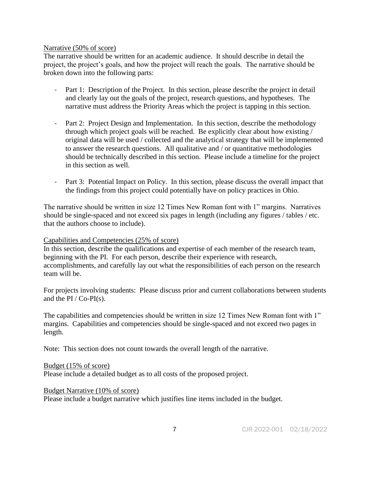#### Narrative (50% of score)

The narrative should be written for an academic audience. It should describe in detail the project, the project's goals, and how the project will reach the goals. The narrative should be broken down into the following parts:

- Part 1: Description of the Project. In this section, please describe the project in detail and clearly lay out the goals of the project, research questions, and hypotheses. The narrative must address the Priority Areas which the project is tapping in this section.
- Part 2: Project Design and Implementation. In this section, describe the methodology through which project goals will be reached. Be explicitly clear about how existing / original data will be used / collected and the analytical strategy that will be implemented to answer the research questions. All qualitative and / or quantitative methodologies should be technically described in this section. Please include a timeline for the project in this section as well.
- Part 3: Potential Impact on Policy. In this section, please discuss the overall impact that the findings from this project could potentially have on policy practices in Ohio.

The narrative should be written in size 12 Times New Roman font with 1" margins. Narratives should be single-spaced and not exceed six pages in length (including any figures / tables / etc. that the authors choose to include).

#### Capabilities and Competencies (25% of score)

In this section, describe the qualifications and expertise of each member of the research team, beginning with the PI. For each person, describe their experience with research, accomplishments, and carefully lay out what the responsibilities of each person on the research team will be.

For projects involving students: Please discuss prior and current collaborations between students and the PI / Co-PI(s).

The capabilities and competencies should be written in size 12 Times New Roman font with 1" margins. Capabilities and competencies should be single-spaced and not exceed two pages in length.

Note: This section does not count towards the overall length of the narrative.

Budget (15% of score)

Please include a detailed budget as to all costs of the proposed project.

Budget Narrative (10% of score)

Please include a budget narrative which justifies line items included in the budget.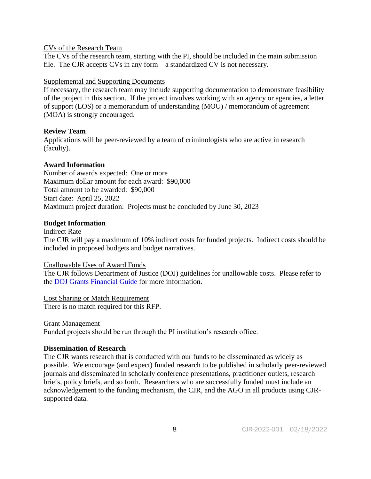#### CVs of the Research Team

The CVs of the research team, starting with the PI, should be included in the main submission file. The CJR accepts CVs in any form – a standardized CV is not necessary.

#### Supplemental and Supporting Documents

If necessary, the research team may include supporting documentation to demonstrate feasibility of the project in this section. If the project involves working with an agency or agencies, a letter of support (LOS) or a memorandum of understanding (MOU) / memorandum of agreement (MOA) is strongly encouraged.

# **Review Team**

Applications will be peer-reviewed by a team of criminologists who are active in research (faculty).

# **Award Information**

Number of awards expected: One or more Maximum dollar amount for each award: \$90,000 Total amount to be awarded: \$90,000 Start date: April 25, 2022 Maximum project duration: Projects must be concluded by June 30, 2023

# **Budget Information**

Indirect Rate

The CJR will pay a maximum of 10% indirect costs for funded projects. Indirect costs should be included in proposed budgets and budget narratives.

#### Unallowable Uses of Award Funds

The CJR follows Department of Justice (DOJ) guidelines for unallowable costs. Please refer to the [DOJ Grants Financial Guide](https://www.justice.gov/ovw/page/file/1116786/download) for more information.

#### Cost Sharing or Match Requirement

There is no match required for this RFP.

#### Grant Management

Funded projects should be run through the PI institution's research office.

#### **Dissemination of Research**

The CJR wants research that is conducted with our funds to be disseminated as widely as possible. We encourage (and expect) funded research to be published in scholarly peer-reviewed journals and disseminated in scholarly conference presentations, practitioner outlets, research briefs, policy briefs, and so forth. Researchers who are successfully funded must include an acknowledgement to the funding mechanism, the CJR, and the AGO in all products using CJRsupported data.